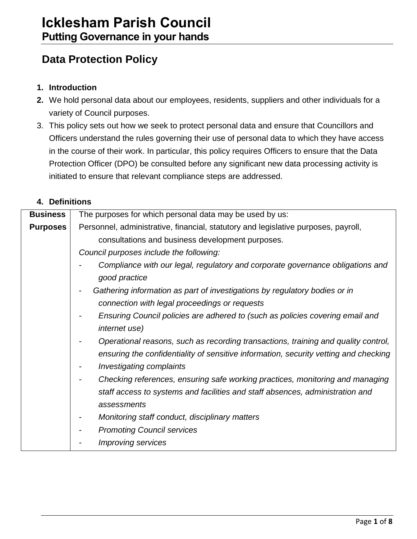# **Data Protection Policy**

## **1. Introduction**

- **2.** We hold personal data about our employees, residents, suppliers and other individuals for a variety of Council purposes.
- 3. This policy sets out how we seek to protect personal data and ensure that Councillors and Officers understand the rules governing their use of personal data to which they have access in the course of their work. In particular, this policy requires Officers to ensure that the Data Protection Officer (DPO) be consulted before any significant new data processing activity is initiated to ensure that relevant compliance steps are addressed.

## **4. Definitions**

| <b>Business</b> | The purposes for which personal data may be used by us:                                                                                                                       |
|-----------------|-------------------------------------------------------------------------------------------------------------------------------------------------------------------------------|
| <b>Purposes</b> | Personnel, administrative, financial, statutory and legislative purposes, payroll,                                                                                            |
|                 | consultations and business development purposes.                                                                                                                              |
|                 | Council purposes include the following:                                                                                                                                       |
|                 | Compliance with our legal, regulatory and corporate governance obligations and<br>good practice                                                                               |
|                 | Gathering information as part of investigations by regulatory bodies or in<br>connection with legal proceedings or requests                                                   |
|                 | Ensuring Council policies are adhered to (such as policies covering email and<br><i>internet use)</i>                                                                         |
|                 | Operational reasons, such as recording transactions, training and quality control,<br>ensuring the confidentiality of sensitive information, security vetting and checking    |
|                 | <b>Investigating complaints</b>                                                                                                                                               |
|                 | Checking references, ensuring safe working practices, monitoring and managing<br>staff access to systems and facilities and staff absences, administration and<br>assessments |
|                 | Monitoring staff conduct, disciplinary matters                                                                                                                                |
|                 | <b>Promoting Council services</b>                                                                                                                                             |
|                 | <b>Improving services</b>                                                                                                                                                     |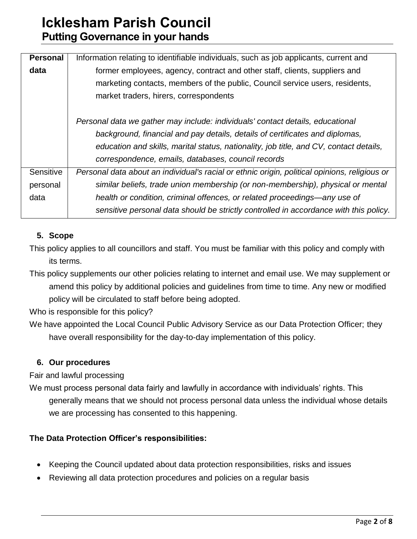| <b>Personal</b> | Information relating to identifiable individuals, such as job applicants, current and         |  |  |
|-----------------|-----------------------------------------------------------------------------------------------|--|--|
| data            | former employees, agency, contract and other staff, clients, suppliers and                    |  |  |
|                 | marketing contacts, members of the public, Council service users, residents,                  |  |  |
|                 | market traders, hirers, correspondents                                                        |  |  |
|                 | Personal data we gather may include: individuals' contact details, educational                |  |  |
|                 | background, financial and pay details, details of certificates and diplomas,                  |  |  |
|                 | education and skills, marital status, nationality, job title, and CV, contact details,        |  |  |
|                 | correspondence, emails, databases, council records                                            |  |  |
| Sensitive       | Personal data about an individual's racial or ethnic origin, political opinions, religious or |  |  |
| personal        | similar beliefs, trade union membership (or non-membership), physical or mental               |  |  |
| data            | health or condition, criminal offences, or related proceedings—any use of                     |  |  |
|                 | sensitive personal data should be strictly controlled in accordance with this policy.         |  |  |

# **5. Scope**

This policy applies to all councillors and staff. You must be familiar with this policy and comply with its terms.

This policy supplements our other policies relating to internet and email use. We may supplement or amend this policy by additional policies and guidelines from time to time. Any new or modified policy will be circulated to staff before being adopted.

Who is responsible for this policy?

We have appointed the Local Council Public Advisory Service as our Data Protection Officer; they have overall responsibility for the day-to-day implementation of this policy.

# **6. Our procedures**

Fair and lawful processing

We must process personal data fairly and lawfully in accordance with individuals' rights. This generally means that we should not process personal data unless the individual whose details we are processing has consented to this happening.

# **The Data Protection Officer's responsibilities:**

- Keeping the Council updated about data protection responsibilities, risks and issues
- Reviewing all data protection procedures and policies on a regular basis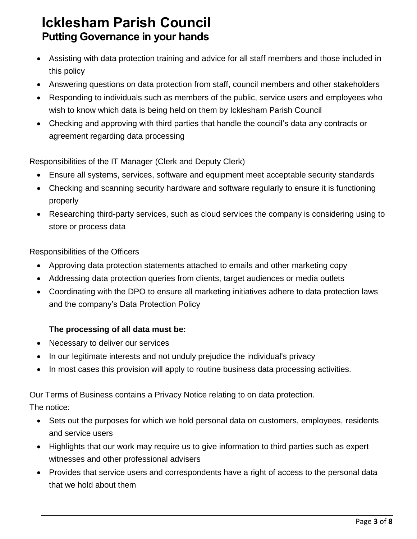- Assisting with data protection training and advice for all staff members and those included in this policy
- Answering questions on data protection from staff, council members and other stakeholders
- Responding to individuals such as members of the public, service users and employees who wish to know which data is being held on them by Icklesham Parish Council
- Checking and approving with third parties that handle the council's data any contracts or agreement regarding data processing

Responsibilities of the IT Manager (Clerk and Deputy Clerk)

- Ensure all systems, services, software and equipment meet acceptable security standards
- Checking and scanning security hardware and software regularly to ensure it is functioning properly
- Researching third-party services, such as cloud services the company is considering using to store or process data

Responsibilities of the Officers

- Approving data protection statements attached to emails and other marketing copy
- Addressing data protection queries from clients, target audiences or media outlets
- Coordinating with the DPO to ensure all marketing initiatives adhere to data protection laws and the company's Data Protection Policy

## **The processing of all data must be:**

- Necessary to deliver our services
- In our legitimate interests and not unduly prejudice the individual's privacy
- In most cases this provision will apply to routine business data processing activities.

Our Terms of Business contains a Privacy Notice relating to on data protection.

The notice:

- Sets out the purposes for which we hold personal data on customers, employees, residents and service users
- Highlights that our work may require us to give information to third parties such as expert witnesses and other professional advisers
- Provides that service users and correspondents have a right of access to the personal data that we hold about them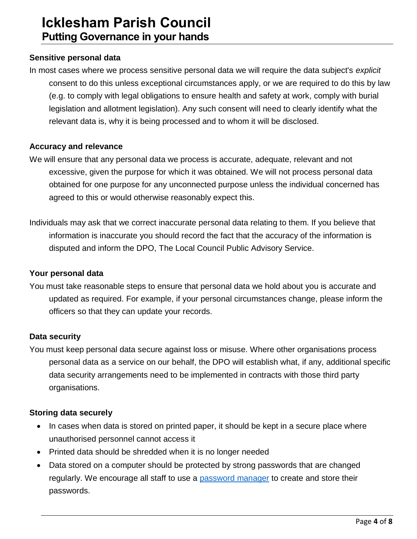### **Sensitive personal data**

In most cases where we process sensitive personal data we will require the data subject's *explicit* consent to do this unless exceptional circumstances apply, or we are required to do this by law (e.g. to comply with legal obligations to ensure health and safety at work, comply with burial legislation and allotment legislation). Any such consent will need to clearly identify what the relevant data is, why it is being processed and to whom it will be disclosed.

#### **Accuracy and relevance**

- We will ensure that any personal data we process is accurate, adequate, relevant and not excessive, given the purpose for which it was obtained. We will not process personal data obtained for one purpose for any unconnected purpose unless the individual concerned has agreed to this or would otherwise reasonably expect this.
- Individuals may ask that we correct inaccurate personal data relating to them. If you believe that information is inaccurate you should record the fact that the accuracy of the information is disputed and inform the DPO, The Local Council Public Advisory Service.

#### **Your personal data**

You must take reasonable steps to ensure that personal data we hold about you is accurate and updated as required. For example, if your personal circumstances change, please inform the officers so that they can update your records.

#### **Data security**

You must keep personal data secure against loss or misuse. Where other organisations process personal data as a service on our behalf, the DPO will establish what, if any, additional specific data security arrangements need to be implemented in contracts with those third party organisations.

#### **Storing data securely**

- In cases when data is stored on printed paper, it should be kept in a secure place where unauthorised personnel cannot access it
- Printed data should be shredded when it is no longer needed
- Data stored on a computer should be protected by strong passwords that are changed regularly. We encourage all staff to use a [password manager](http://cybersecurityzen.com/cybersecurity/keep-data-safe-rise-password-managers-1654/) to create and store their passwords.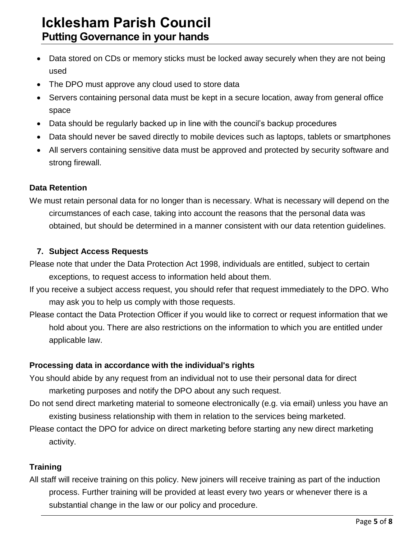- Data stored on CDs or memory sticks must be locked away securely when they are not being used
- The DPO must approve any cloud used to store data
- Servers containing personal data must be kept in a secure location, away from general office space
- Data should be regularly backed up in line with the council's backup procedures
- Data should never be saved directly to mobile devices such as laptops, tablets or smartphones
- All servers containing sensitive data must be approved and protected by security software and strong firewall.

# **Data Retention**

We must retain personal data for no longer than is necessary. What is necessary will depend on the circumstances of each case, taking into account the reasons that the personal data was obtained, but should be determined in a manner consistent with our data retention guidelines.

# **7. Subject Access Requests**

Please note that under the Data Protection Act 1998, individuals are entitled, subject to certain exceptions, to request access to information held about them.

- If you receive a subject access request, you should refer that request immediately to the DPO. Who may ask you to help us comply with those requests.
- Please contact the Data Protection Officer if you would like to correct or request information that we hold about you. There are also restrictions on the information to which you are entitled under applicable law.

# **Processing data in accordance with the individual's rights**

- You should abide by any request from an individual not to use their personal data for direct marketing purposes and notify the DPO about any such request.
- Do not send direct marketing material to someone electronically (e.g. via email) unless you have an existing business relationship with them in relation to the services being marketed.
- Please contact the DPO for advice on direct marketing before starting any new direct marketing activity.

# **Training**

All staff will receive training on this policy. New joiners will receive training as part of the induction process. Further training will be provided at least every two years or whenever there is a substantial change in the law or our policy and procedure.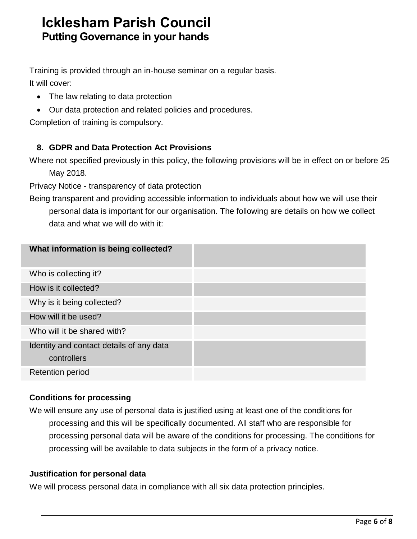Training is provided through an in-house seminar on a regular basis. It will cover:

- The law relating to data protection
- Our data protection and related policies and procedures.

Completion of training is compulsory.

# **8. GDPR and Data Protection Act Provisions**

Where not specified previously in this policy, the following provisions will be in effect on or before 25 May 2018.

Privacy Notice - transparency of data protection

Being transparent and providing accessible information to individuals about how we will use their personal data is important for our organisation. The following are details on how we collect data and what we will do with it:

| What information is being collected?     |  |
|------------------------------------------|--|
| Who is collecting it?                    |  |
| How is it collected?                     |  |
| Why is it being collected?               |  |
| How will it be used?                     |  |
| Who will it be shared with?              |  |
| Identity and contact details of any data |  |
| controllers                              |  |
| <b>Retention period</b>                  |  |

# **Conditions for processing**

We will ensure any use of personal data is justified using at least one of the conditions for processing and this will be specifically documented. All staff who are responsible for processing personal data will be aware of the conditions for processing. The conditions for processing will be available to data subjects in the form of a privacy notice.

## **Justification for personal data**

We will process personal data in compliance with all six data protection principles.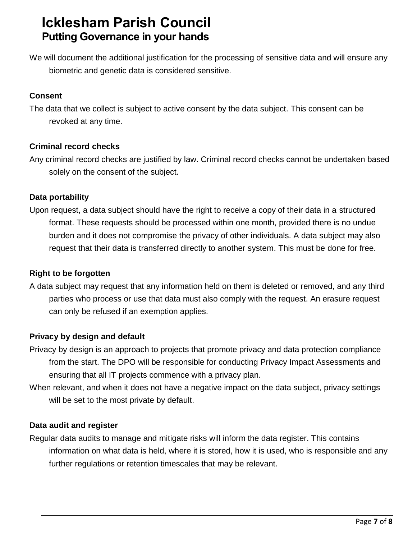We will document the additional justification for the processing of sensitive data and will ensure any biometric and genetic data is considered sensitive.

## **Consent**

The data that we collect is subject to active consent by the data subject. This consent can be revoked at any time.

# **Criminal record checks**

Any criminal record checks are justified by law. Criminal record checks cannot be undertaken based solely on the consent of the subject.

## **Data portability**

Upon request, a data subject should have the right to receive a copy of their data in a structured format. These requests should be processed within one month, provided there is no undue burden and it does not compromise the privacy of other individuals. A data subject may also request that their data is transferred directly to another system. This must be done for free.

# **Right to be forgotten**

A data subject may request that any information held on them is deleted or removed, and any third parties who process or use that data must also comply with the request. An erasure request can only be refused if an exemption applies.

## **Privacy by design and default**

- Privacy by design is an approach to projects that promote privacy and data protection compliance from the start. The DPO will be responsible for conducting Privacy Impact Assessments and ensuring that all IT projects commence with a privacy plan.
- When relevant, and when it does not have a negative impact on the data subject, privacy settings will be set to the most private by default.

## **Data audit and register**

Regular data audits to manage and mitigate risks will inform the data register. This contains information on what data is held, where it is stored, how it is used, who is responsible and any further regulations or retention timescales that may be relevant.